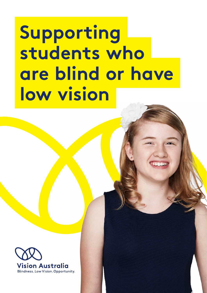# **Supporting students who are blind or have low vision**

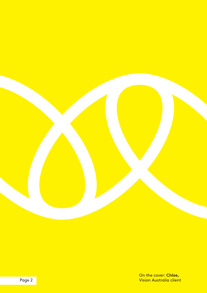

 Page 2 Vision Australia client On the cover: **Chloe,**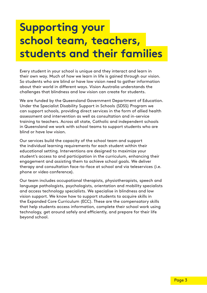### **Supporting your school team, teachers, students and their families**

Every student in your school is unique and they interact and learn in their own way. Much of how we learn in life is gained through our vision. So students who are blind or have low vision need to gather information about their world in diferent ways. Vision Australia understands the challenges that blindness and low vision can create for students.

We are funded by the Queensland Government Department of Education. Under the Specialist Disability Support in Schools (SDSS) Program we can support schools, providing direct services in the form of allied health assessment and intervention as well as consultation and in-service training to teachers. Across all state, Catholic and independent schools in Queensland we work with school teams to support students who are blind or have low vision.

Our services build the capacity of the school team and support the individual learning requirements for each student within their educational setting. Interventions are designed to maximize your student's access to and participation in the curriculum, enhancing their engagement and assisting them to achieve school goals. We deliver therapy and consultation face-to-face at school and via teleservices (i.e. phone or video conference).

Our team includes occupational therapists, physiotherapists, speech and language pathologists, psychologists, orientation and mobility specialists and access technology specialists. We specialise in blindness and low vision support. We know how to support students to acquire skills in the Expanded Core Curriculum (ECC). These are the compensatory skills that help students access information, complete their school work using technology, get around safely and efficiently, and prepare for their life beyond school.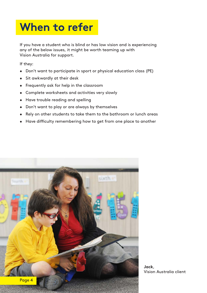### **When to refer**

If you have a student who is blind or has low vision and is experiencing any of the below issues, it might be worth teaming up with Vision Australia for support.

If they:

- Don't want to participate in sport or physical education class (PE)
- Sit awkwardly at their desk
- Frequently ask for help in the classroom
- Complete worksheets and activities very slowly
- Have trouble reading and spelling
- Don't want to play or are always by themselves
- Rely on other students to take them to the bathroom or lunch areas
- Have difficulty remembering how to get from one place to another



 Vision Australia client **Jack**,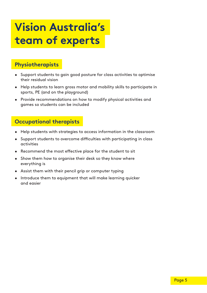### **Vision Australia's team of experts**

#### **Physiotherapists**

- Support students to gain good posture for class activities to optimise their residual vision
- Help students to learn gross motor and mobility skills to participate in sports, PE (and on the playground)
- Provide recommendations on how to modify physical activities and games so students can be included

#### **Occupational therapists**

- Help students with strategies to access information in the classroom
- Support students to overcome difficulties with participating in class activities
- Recommend the most effective place for the student to sit
- Show them how to organise their desk so they know where everything is
- Assist them with their pencil grip or computer typing
- Introduce them to equipment that will make learning quicker and easier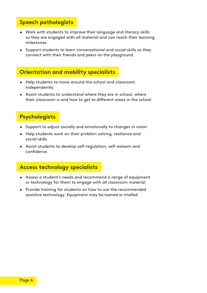#### **Speech pathologists**

- Work with students to improve their language and literacy skills so they are engaged with all material and can reach their learning milestones
- Support students to learn conversational and social skills so they connect with their friends and peers on the playground

#### **Orientation and mobility specialists**

- Help students to move around the school and classroom independently
- Assist students to understand where they are in school, where their classroom is and how to get to diferent areas in the school

#### **Psychologists**

- Support to adjust socially and emotionally to changes in vision
- Help students work on their problem solving, resilience and social skills
- Assist students to develop self-regulation, self-esteem and confidence

#### **Access technology specialists**

- Assess a student's needs and recommend a range of equipment or technology for them to engage with all classroom material
- Provide training for students on how to use the recommended assistive technology. Equipment may be loaned or trialled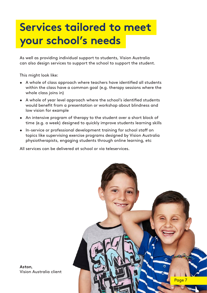### **Services tailored to meet your school's needs**

As well as providing individual support to students, Vision Australia can also design services to support the school to support the student.

This might look like:

- A whole of class approach where teachers have identifed all students within the class have a common goal (e.g. therapy sessions where the whole class joins in)
- A whole of year level approach where the school's identifed students would benefit from a presentation or workshop about blindness and low vision for example
- An intensive program of therapy to the student over a short block of time (e.g. a week) designed to quickly improve students learning skills
- In-service or professional development training for school staff on topics like supervising exercise programs designed by Vision Australia physiotherapists, engaging students through online learning, etc

All services can be delivered at school or via teleservices.



 Vision Australia client **Aston**,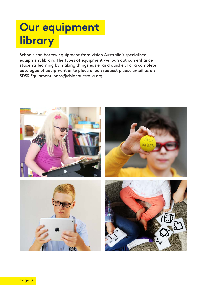## **Our equipment library**

Schools can borrow equipment from Vision Australia's specialised equipment library. The types of equipment we loan out can enhance students learning by making things easier and quicker. For a complete catalogue of equipment or to place a loan request please email us on [SDSS.EquipmentLoans@visionaustralia.org](mailto:SDSS.EquipmentLoans@visionaustralia.org)